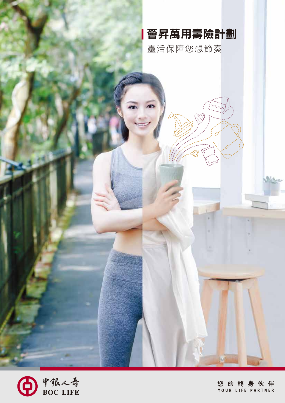



您 的 終 身 伙 伴<br>YOUR LIFE PARTNER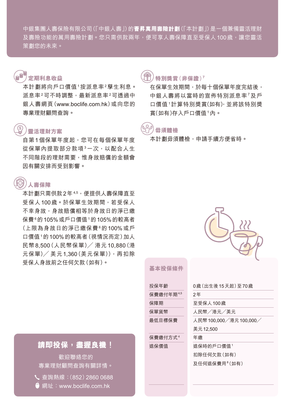中銀集團人壽保險有限公司(「中銀人壽」)的**薈昇萬用壽險計劃**(「本計劃」)是一個兼備靈活理財 及壽險功能的萬用壽險計劃。您只需供款兩年,便可享人壽保障直至受保人100歲,讓您靈活 策劃您的未來。

 **特別獎賞(非保證)7**

賞(如有)存入戶口價值1內。

本計劃毋須體檢,申請手續方便省時。

へ。)<br><sub>「</sub>一つ」<br>田須<u>體検</u>

在保單生效期間,於每十個保單年度完結後, 中銀人壽將以當時的宣佈特別派息率7及戶 口價值1計算特別獎賞(如有),並將該特別獎

# **定期利息收益**

本計劃將向戶口價值1按派息率2孳生利息。 派息率2可不時調整,最新派息率2可诱過中 銀人壽網頁(www.boclife.com.hk)或向您的 專業理財顧問查詢。

### **靈活理財方案 \$**

自第1個保單年度起,您可在每個保單年度 從保單內提取部分款項3一次,以配合人生 不同階段的理財需要,惟身故賠償的金額會 因有關安排而受到影響。

# **人壽保障**

本計劃只需供款2年4,5,便提供人壽保障直至 受保人100歲。於保單生效期間,若受保人 不幸身故,身故賠償相等於身故日的淨已繳 保費6的105%或戶口價值1的105%的較高者 (上限為身故日的淨已繳保費6的100%或戶 口價值1的100%的較高者(視情況而定)加人 民幣 8,500(人民幣保單)╱ 港元 10,880(港 元保單)╱ 美元1,360(美元保單)),再扣除 受保人身故前之任何欠款(如有)。



# **基本投保條件**

| 投保年齡                | 0歲 (出生後15天起)至70歲          |
|---------------------|---------------------------|
| 保費繳付年期4,5           | 2年                        |
| 保障期                 | 至受保人 100歲                 |
| 保單貨幣                | 人民幣/港元/美元                 |
| 最低目標保費              | 人民幣100,000/港元100,000/     |
|                     | 美元 12,500                 |
| 保費繳付方式 <sup>4</sup> | 年繳                        |
| 退保價值                | 退保時的戶口價值                  |
|                     | 扣除任何欠款 (如有)               |
|                     | 及任何退保費用 <sup>8</sup> (如有) |
|                     |                           |

# **請即投保,盡握良機!**

歡迎聯絡您的 專業理財顧問查詢有關詳情。

● 查詢熱線: (852) 2860 0688  $\blacklozenge$  網址:www.boclife.com.hk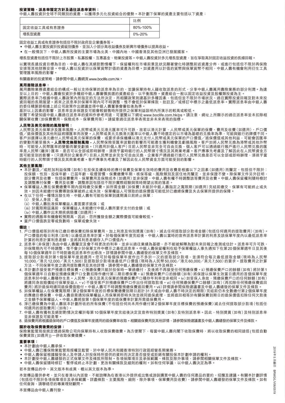## **投資策略、派息率釐定方針及過往派息率資料:**

中銀人壽投資於全球不同類別的資產,以獲得多元化投資組合的優勢。本計劃下保單的資產主要包括以下資產:

|             | 比例           |
|-------------|--------------|
| 固定收益工具或有息證券 | 80%-100%     |
| 增長型資產       | $0\% - 20\%$ |

固定收益工具或有息證券包括但不限於政府及企業債券等。

● 中銀人壽主要投資於投資級別債券,並加入小部分高收益債券及新興市場債券以提高收益。

● 在一般情況下,中銀人壽所投資的主要市場為北美、中國內地、中國香港及其他亞洲已發展國家。

增長型資產包括但不限於上市股票、私募股權、互惠基金、物業投資等。中銀人壽投資於多元增長型資產,旨在爭取高於固定收益投資的長線回報。

以實現長遠投資目標為目的,中銀人壽在其絕對酌情權下,保留權利在市場前景及狀況顯著變化時調整前述資產分佈,或進行包括但不限於再保險 安排等其他財務安排。中銀人壽以投資於以保單貨幣計值的資產為目標。如資產用以計值的貨幣與保單貨幣不相同,中銀人壽有機會利用衍生工具 管理匯率風險的影響。

有關最新的投資策略,請參閱中銀人壽網頁www.boclife.com.hk。

### **萬用壽險派息率:**

萬用壽險業務資產組合的構成一般以支持保單的派息率為目的,並讓保單持有人藉收取派息的形式,分享中銀人壽萬用壽險業務的部分利潤。為達 至以上目的,中銀人壽會投資於多種經中銀人壽審慎挑選的資產組合,以平衡風險。資產組合一般以固定收益投資及股權類投資為主。

二次工具的,「默尔設直及員然之僵症」默尔設备與沈运的真產症日,次下員試驗,真產症日,放外固定依並及資及放電效及資源工<br>實際派息率乃根據中銀人壽政策內所指定的方法所決定,而相關政策則建基於多種因素,包括但並不限於市場狀況、過往實際投資回報及對未來投 資回報的長期展望。將來之派息率於保單年期內可不時調整,惟不會低於保單條款、批註及╱或修訂中標示之最低派息率。實際派息率由中銀人壽 的委任精算師根據上述公司政策作出建議並得中銀人壽董事會審批後為準。

基於以上因素的影響,派息率並非保證及可能會較銷售時所提供之保單利益說明內所演示的較高或較低。

若閣下希望知道中銀人壽過往派息率的資料作參考用途,可瀏覽以下網址www.boclife.com.hk/ps。請注意,網址上所顯示的過往派息率並未扣除相 關保單收費(如保費費用、保險成本、保單費用等)。請留意過往派息率表現並非未來表現的指標。

# **人民幣及美元保險的風險聲明:**

人民幣及美元保單涉及匯率風險。人民幣或美元兌港元匯率可升可跌,故若以港元計算,人民幣或美元保單的保費、費用及收費(如適用)、戶口價 值╱退保價值及其他利益將隨匯率而改變。人民幣或美元兌換港元匯率以中銀人壽不時選定的以市場為基礎的兌換率為準,可能與銀行的牌價不同。 客戶如選擇以港元繳付人民幣或美元保單的保費,或要求承保機構以港元支付人民幣或美元保單的戶口價值╱退保價值或其他利益,可能會因匯率 的變動而蒙受損失。**人民幣兌換限制風險 -** 人民幣保險受匯率波動的影響而可能產生獲利機會及虧損風險。客戶如將人民幣兌換為港幣或其他外幣 時,可能受人民幣匯率的變動而蒙受虧損。(只適用於個人客戶)目前人民幣並非完全可自由兌換,個人客戶可以通過銀行賬戶進行人民幣兌換的匯 率是人民幣(離岸)匯率,是否可以全部或即時辦理,須視乎當時銀行的人民幣頭寸情況及其商業考慮。客戶應事先考慮及了解因此在人民幣資金方 面可能受到的影響。(只適用於企業客戶)目前人民幣並非完全可自由兑換,企業客戶通過銀行進行人民幣兑換是否可以全部或即時辦理,須視乎當 時銀行的人民幣頭寸情況及其商業考慮。客戶應事先考慮及了解因此在人民幣資金方面可能受到的影響。

## **其他主要風險﹕**

- **‧** 本計劃及╱或附加利益保障(如有)在投保及續保時的應付保費及保單生效時的費用及收費是根據以下之因素(如適用)而釐定,包括但不限於: 投保額、性別、投保年齢、已屆年齡、吸煙習慣、保費繳費年期、核保等級、風險類別及居住地而釐定,並非保證不變。除保單文件另外註明, 部分費用及收費,包括保費費用、保單費用及保險成本(如適用)並非保證,中銀人壽有權不時調整該等費用及收費。中銀人壽保留權利隨時檢討 及調整應付保費、費用及收費,調整原因包括但不限於實際經驗與現時期望出現的落差。
- **‧** 保單權益人應在保費繳費年期內按時繳交保費。如所需金額(如保費)未能於中銀人壽指定之寬限期(如適用)完結前繳交,保單有可能終止或失 效。如因未能繳付保費導致保單被終止或失效,保單權益人可領取的退保價值可能低於已繳總保費及失去保單所提供的保障。
- 在以下任何一種情況發生時,中銀人壽有可能在保單到達期滿日前終止保單: (i) 受保人身故;或
	- (ii) 中銀人壽批准保單權益人書面要求退保;或
	- 。<br>(iii) 於寬限期屆滿前,保單權益人未能繳付中銀人壽所要求支付的金額;或
	- (iv) 中銀人壽作出末期疾病賠償(如適用)。
- **....**<br>● 實際的通脹率有機會較預期高,因此,您所獲發金額之實際價值可能會較低。
- **‧** 當戶口價值跌至零或負數時,保單或會失效。

**備註:**

- 1. 戶口價值相等於所有已繳目標保費扣除保單費用、加上利息及特別獎賞(如有)、減去任何提取部分款項金額(包括任何適用的提取費用)(如有)。 戶口價值的每日利息(如有)以最低派息率計算。於每個保單年度完結後,中銀人壽以當時的宣佈派息率計算的利息及該保單年度內以最低派息率 計算的利息計算利息差額,並將其利息差額存入戶口價值內。
- 2. 派息率(非保證)為由中銀人壽釐定及會不時更改的利率,並非以過往業績為基礎,亦不能被解釋為對未來回報之推測或估計。派息率可升可跌, 於保障期內可不時調整,惟不會少於保單文件中標示之最低派息率。中銀人壽保留權利在給予保單權益人事先通知下在第20個保單週年日及其後 每10個保單週年日不時對最低派息率作出修改。詳情請參閱中銀人壽繕發的保單文件及條款。
- 3. 提取部分款項於第1個保單年度起適用。您可於每個保單年度作出不多於一次的提取部分款項,並須符合每次最低提取金額(現時為人民幣 10,000╱港元12,000╱美元1,500)及提取部分款項後最低戶口價值(現時為人民幣50,000╱港元60,000╱美元7,500)的要求。提取費用之計算 方法、不同保單年度之適用提取費用及其他詳情,請參閲中銀人壽繕發的保單文件及條款。
- 4. 本計劃亦接受客戶預繳目標保費。i)預繳保費只能於投保時一筆過繳付,及後將不再接受任何預繳保費。ii)預繳保費戶口的餘額(如有)將於第1 個保單週年日自動從預繳保費戶口全數扣除作繳付第二期目標保費。iii)預繳保費戶口的餘額(如有)將保證以保單生效當日適用的首個保單年度 派息率於中銀人壽積存生息。人民幣、港元及美元保單的預繳保費戶口積存年利率並非相同。iv)如受保人身故,預繳保費戶口的任何餘額(如有) 將連同身故賠償給付保單受益人。v)不接受客戶於預繳保費戶口作出任何提取款項。vi)任何預繳保費戶口餘額(如有)(再扣除任何預繳保費退回 約定用)將於知知時期的不知的。中銀人壽可不時間整預繳保費退回費用。vii)詳情請參閱保險建議書及中銀小號的保單文件,所以以次次的文字,
- ——只出力的於為你,是自急於長島知日,「我公認可有為在我就所会会自急的,並行用的。」<br>5. 如保單權益人在保費寬限期(第2個保單年度的目標保費繳費到期日起計31天或由中銀人壽不時決定的期限)完結前仍未全數繳付第2個保單年度 的應繳目標保費,中銀人壽毋需通知保單權益人而保單將即時失效並視同退保處理,並將退回相等於有關保費到期日的退保價值扣除任何欠款後 之金額予保單權益人。中銀人壽將按第1個保單年度的退保費率計算所需退保費用。
- 6. 淨已繳保費為中銀人壽就本計劃所收的所有保費(不包括任何尚未用作繳付第2個保單年度目標保費的預繳保費)減去任何提取部分款項(包括任 何適用的提取費用)(如有)。
- 7. 中銀人壽有獨有及絕對酌情決定權於每第10個保單年度完結後決定及宣佈特別獎賞(如有)及特別派息率。因此,特別獎賞(如有)及特別派息率 並非保證及可能是零。
- 8. 退保費用將根據退保時的戶口價值及保單年度適用的退保費率收取。相關退保費用及其他詳情,請參閱保險建議書及中銀人壽繕發的保單文件及條款。

### **關於收取保費徵費的安排:**

保險業監管局按規定透過保險公司向保單持有人收取保費徵費。為方便閣下,每當中銀人壽向閣下收取保費時,將以收取保費的相同途徑(包括自動 保費貸款(如適用))一併收取保費徵費。

### **重要事項:**

**‧** 本計劃由中銀人壽承保。

- **‧** 中銀人壽已獲保險業監管局授權及監管,於中華人民共和國香港特別行政區經營長期業務。
- **‧** 中銀人壽保留根據擬受保人及申請人於投保時所提供的資料而決定是否接受或拒絕有關投保本計劃申請的權利。
- **‧** 本計劃受中銀人壽繕發的正式保單文件及條款所限制。各項保障項目及承保範圍、條款及除外事項,請參閱相關保單文件及條款。
- **‧** 中銀人壽保留隨時修訂、暫停或終止本計劃,更改有關條款及細則的權利。如有任何爭議,以中銀人壽決定為準。

若本宣傳品的中、英文版本有歧異,概以英文版本為準。

本宣傳品僅供參考,並只在香港以內派發,不能詮釋為在香港以外提供或出售或游說購買中銀人壽的任何產品的要約、招攬及建議。有關本計劃詳情 ,三は品量於ショー王公在日治六行派は、「市陆平縣在日治六行走於為出日為就設得入,我公時時在行產品的委約,指邊及定職,占歸下市量計情 任何查詢,請聯絡您的專業理財顧問。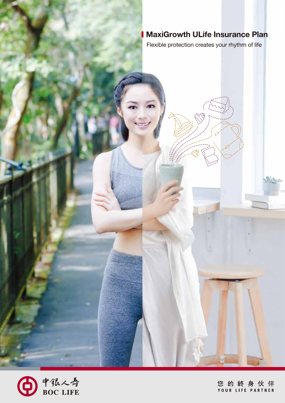# **MaxiGrowth ULife Insurance Plan**

Flexible protection creates your rhythm of life



您 的 終 身 伙 伴<br>YOUR LIFE PARTNER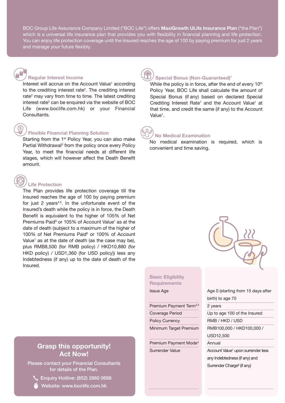BOC Group Life Assurance Company Limited ("BOC Life") offers **MaxiGrowth ULife Insurance Plan** ("the Plan") which is a universal life insurance plan that provides you with flexibility in financial planning and life protection. You can enjoy life protection coverage until the Insured reaches the age of 100 by paying premium for just 2 years and manage your future flexibly.

# **Regular Interest Income**

Interest will accrue on the Account Value<sup>1</sup> according to the crediting interest rate<sup>2</sup>. The crediting interest rate<sup>2</sup> may vary from time to time. The latest crediting interest rate $^2$  can be enquired via the website of BOC Life (www.boclife.com.hk) or your Financial Consultants.

# **Flexible Financial Planning Solution**

Starting from the 1<sup>st</sup> Policy Year, you can also make Partial Withdrawal<sup>3</sup> from the policy once every Policy Year, to meet the financial needs at different life stages, which will however affect the Death Benefit amount.

**\$**

# **Life Protection**

The Plan provides life protection coverage till the Insured reaches the age of 100 by paying premium for just 2 years $4,5$ . In the unfortunate event of the Insured's death while the policy is in force, the Death Benefit is equivalent to the higher of 105% of Net Premiums Paid<sup>6</sup> or 105% of Account Value<sup>1</sup> as at the date of death (subject to a maximum of the higher of 100% of Net Premiums Paid<sup>6</sup> or 100% of Account Value1 as at the date of death (as the case may be), plus RMB8,500 (for RMB policy) / HKD10,880 (for HKD policy) / USD1,360 (for USD policy)) less any Indebtedness (if any) up to the date of death of the Insured.

# **Special Bonus (Non-Guaranteed)7**

While the policy is in force, after the end of every 10<sup>th</sup> Policy Year, BOC Life shall calculate the amount of Special Bonus (if any) based on declared Special Crediting Interest Rate<sup>7</sup> and the Account Value<sup>1</sup> at that time, and credit the same (if any) to the Account Value<sup>1</sup>.

# **No Medical Examination**

No medical examination is required, which is convenient and time saving.

**Basic Eligibility Requirements Issue Age** 



| <b>Issue Age</b>                    | Age 0 (starting from 15 days after             |
|-------------------------------------|------------------------------------------------|
|                                     | birth) to age 70                               |
| Premium Payment Term <sup>4,5</sup> | 2 years                                        |
| Coverage Period                     | Up to age 100 of the Insured                   |
| <b>Policy Currency</b>              | RMB / HKD / USD                                |
| Minimum Target Premium              | RMB100,000 / HKD100,000 /                      |
|                                     | USD12,500                                      |
| Premium Payment Mode <sup>4</sup>   | Annual                                         |
| Surrender Value                     | Account Value <sup>1</sup> upon surrender less |
|                                     | any Indebtedness (if any) and                  |
|                                     | Surrender Charge <sup>8</sup> (if any)         |

# **Grasp this opportunity! Act Now!**

Please contact your Financial Consultants for details of the Plan.

Enquiry Hotline: (852) 2860 0688

Website: www.boclife.com.hk